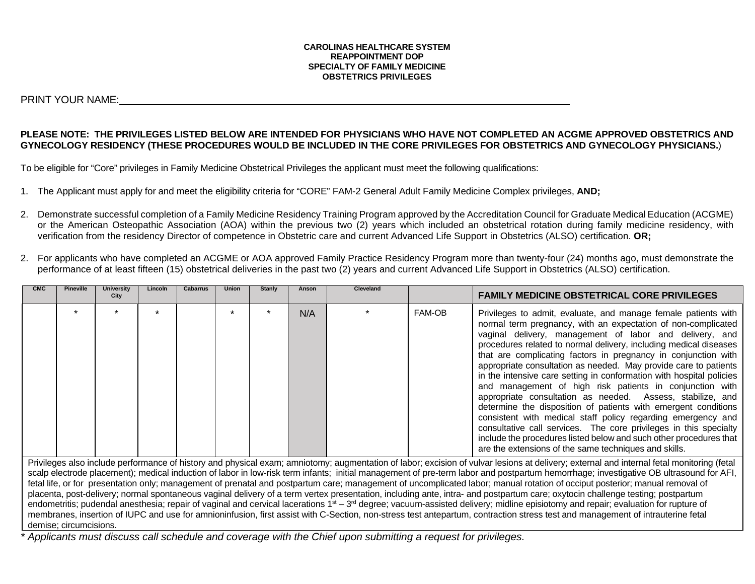#### **CAROLINAS HEALTHCARE SYSTEM REAPPOINTMENT DOP SPECIALTY OF FAMILY MEDICINE OBSTETRICS PRIVILEGES**

PRINT YOUR NAME:

### **PLEASE NOTE: THE PRIVILEGES LISTED BELOW ARE INTENDED FOR PHYSICIANS WHO HAVE NOT COMPLETED AN ACGME APPROVED OBSTETRICS AND GYNECOLOGY RESIDENCY (THESE PROCEDURES WOULD BE INCLUDED IN THE CORE PRIVILEGES FOR OBSTETRICS AND GYNECOLOGY PHYSICIANS.**)

To be eligible for "Core" privileges in Family Medicine Obstetrical Privileges the applicant must meet the following qualifications:

- 1. The Applicant must apply for and meet the eligibility criteria for "CORE" FAM-2 General Adult Family Medicine Complex privileges, **AND;**
- 2. Demonstrate successful completion of a Family Medicine Residency Training Program approved by the Accreditation Council for Graduate Medical Education (ACGME) or the American Osteopathic Association (AOA) within the previous two (2) years which included an obstetrical rotation during family medicine residency, with verification from the residency Director of competence in Obstetric care and current Advanced Life Support in Obstetrics (ALSO) certification. **OR;**
- 2. For applicants who have completed an ACGME or AOA approved Family Practice Residency Program more than twenty-four (24) months ago, must demonstrate the performance of at least fifteen (15) obstetrical deliveries in the past two (2) years and current Advanced Life Support in Obstetrics (ALSO) certification.

| <b>CMC</b>                                                                                                                                                                                                                                                                                                                                                                                                                                                                                                                                                                                                                                                                                                                                           | <b>Pineville</b> | <b>University</b><br>City | Lincoln | <b>Cabarrus</b> | <b>Union</b> | <b>Stanly</b> | Anson | Cleveland |        | <b>FAMILY MEDICINE OBSTETRICAL CORE PRIVILEGES</b>                                                                                                                                                                                                                                                                                                                                                                                                                                                                                                                                                                                                                                                                                                                                                                                                                                                                                            |
|------------------------------------------------------------------------------------------------------------------------------------------------------------------------------------------------------------------------------------------------------------------------------------------------------------------------------------------------------------------------------------------------------------------------------------------------------------------------------------------------------------------------------------------------------------------------------------------------------------------------------------------------------------------------------------------------------------------------------------------------------|------------------|---------------------------|---------|-----------------|--------------|---------------|-------|-----------|--------|-----------------------------------------------------------------------------------------------------------------------------------------------------------------------------------------------------------------------------------------------------------------------------------------------------------------------------------------------------------------------------------------------------------------------------------------------------------------------------------------------------------------------------------------------------------------------------------------------------------------------------------------------------------------------------------------------------------------------------------------------------------------------------------------------------------------------------------------------------------------------------------------------------------------------------------------------|
|                                                                                                                                                                                                                                                                                                                                                                                                                                                                                                                                                                                                                                                                                                                                                      |                  |                           |         |                 |              |               | N/A   |           | FAM-OB | Privileges to admit, evaluate, and manage female patients with<br>normal term pregnancy, with an expectation of non-complicated<br>vaginal delivery, management of labor and delivery, and<br>procedures related to normal delivery, including medical diseases<br>that are complicating factors in pregnancy in conjunction with<br>appropriate consultation as needed. May provide care to patients<br>in the intensive care setting in conformation with hospital policies<br>and management of high risk patients in conjunction with<br>appropriate consultation as needed. Assess, stabilize, and<br>determine the disposition of patients with emergent conditions<br>consistent with medical staff policy regarding emergency and<br>consultative call services. The core privileges in this specialty<br>include the procedures listed below and such other procedures that<br>are the extensions of the same techniques and skills. |
| Privileges also include performance of history and physical exam; amniotomy; augmentation of labor; excision of vulvar lesions at delivery; external and internal fetal monitoring (fetal<br>scalp electrode placement); medical induction of labor in low-risk term infants; initial management of pre-term labor and postpartum hemorrhage; investigative OB ultrasound for AFI,<br>fetal life, or for presentation only; management of prenatal and postpartum care; management of uncomplicated labor; manual rotation of occiput posterior; manual removal of<br>placenta, post-delivery; normal spontaneous vaginal delivery of a term vertex presentation, including ante, intra- and postpartum care; oxytocin challenge testing; postpartum |                  |                           |         |                 |              |               |       |           |        |                                                                                                                                                                                                                                                                                                                                                                                                                                                                                                                                                                                                                                                                                                                                                                                                                                                                                                                                               |

endometritis; pudendal anesthesia; repair of vaginal and cervical lacerations 1<sup>st</sup> – 3<sup>rd</sup> degree; vacuum-assisted delivery; midline episiotomy and repair; evaluation for rupture of membranes, insertion of IUPC and use for amnioninfusion, first assist with C-Section, non-stress test antepartum, contraction stress test and management of intrauterine fetal demise; circumcisions.

*\* Applicants must discuss call schedule and coverage with the Chief upon submitting a request for privileges.*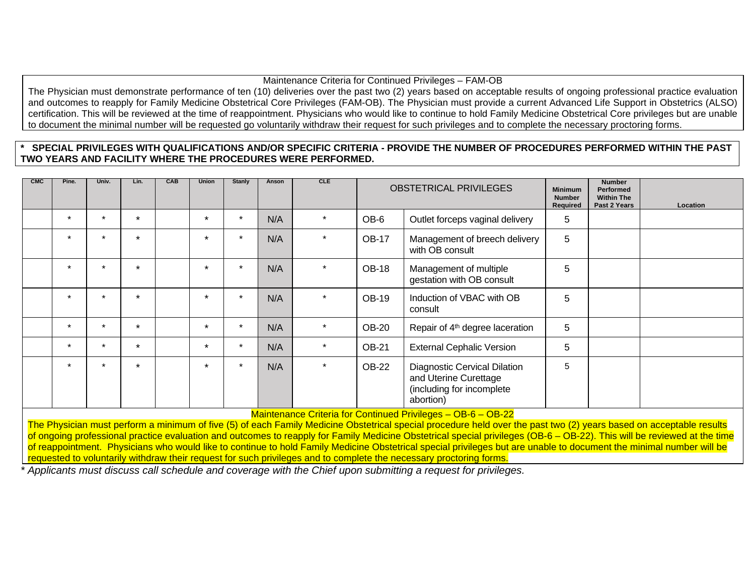## Maintenance Criteria for Continued Privileges – FAM-OB

The Physician must demonstrate performance of ten (10) deliveries over the past two (2) years based on acceptable results of ongoing professional practice evaluation and outcomes to reapply for Family Medicine Obstetrical Core Privileges (FAM-OB). The Physician must provide a current Advanced Life Support in Obstetrics (ALSO) certification. This will be reviewed at the time of reappointment. Physicians who would like to continue to hold Family Medicine Obstetrical Core privileges but are unable to document the minimal number will be requested go voluntarily withdraw their request for such privileges and to complete the necessary proctoring forms.

## **\* SPECIAL PRIVILEGES WITH QUALIFICATIONS AND/OR SPECIFIC CRITERIA - PROVIDE THE NUMBER OF PROCEDURES PERFORMED WITHIN THE PAST TWO YEARS AND FACILITY WHERE THE PROCEDURES WERE PERFORMED.**

| <b>CMC</b> | Pine.   | Univ.   | Lin.    | <b>CAB</b> | <b>Union</b>         | Stanly  | Anson | <b>CLE</b> | <b>OBSTETRICAL PRIVILEGES</b> |                                                                                                 | <b>Minimum</b><br><b>Number</b><br>Required | <b>Number</b><br>Performed<br><b>Within The</b><br>Past 2 Years | Location |
|------------|---------|---------|---------|------------|----------------------|---------|-------|------------|-------------------------------|-------------------------------------------------------------------------------------------------|---------------------------------------------|-----------------------------------------------------------------|----------|
|            | $\star$ | $\star$ | $\star$ |            | $\star$              |         | N/A   | $\star$    | OB-6                          | Outlet forceps vaginal delivery                                                                 | 5                                           |                                                                 |          |
|            | $\star$ | $\star$ | $\star$ |            | $\ddot{\phantom{0}}$ |         | N/A   | $\star$    | <b>OB-17</b>                  | Management of breech delivery<br>with OB consult                                                | 5                                           |                                                                 |          |
|            | $\star$ | $\star$ | $\star$ |            | $\cdot$              |         | N/A   |            | <b>OB-18</b>                  | Management of multiple<br>gestation with OB consult                                             | 5                                           |                                                                 |          |
|            | $\star$ | $\star$ | $\star$ |            | $\star$              |         | N/A   | $\star$    | <b>OB-19</b>                  | Induction of VBAC with OB<br>consult                                                            | 5                                           |                                                                 |          |
|            | $\star$ | $\star$ | $\star$ |            | $\star$              |         | N/A   | $\star$    | <b>OB-20</b>                  | Repair of 4 <sup>th</sup> degree laceration                                                     | 5                                           |                                                                 |          |
|            | $\star$ | $\star$ | $\star$ |            | $\star$              | $\star$ | N/A   | $\star$    | <b>OB-21</b>                  | <b>External Cephalic Version</b>                                                                | 5                                           |                                                                 |          |
|            | $\star$ | $\star$ | $\star$ |            | $\ddot{\phantom{0}}$ |         | N/A   |            | <b>OB-22</b>                  | Diagnostic Cervical Dilation<br>and Uterine Curettage<br>(including for incomplete<br>abortion) | 5                                           |                                                                 |          |

Maintenance Criteria for Continued Privileges – OB-6 – OB-22

The Physician must perform a minimum of five (5) of each Family Medicine Obstetrical special procedure held over the past two (2) years based on acceptable results of ongoing professional practice evaluation and outcomes to reapply for Family Medicine Obstetrical special privileges (OB-6 – OB-22). This will be reviewed at the time of reappointment. Physicians who would like to continue to hold Family Medicine Obstetrical special privileges but are unable to document the minimal number will be requested to voluntarily withdraw their request for such privileges and to complete the necessary proctoring forms.

*\* Applicants must discuss call schedule and coverage with the Chief upon submitting a request for privileges.*